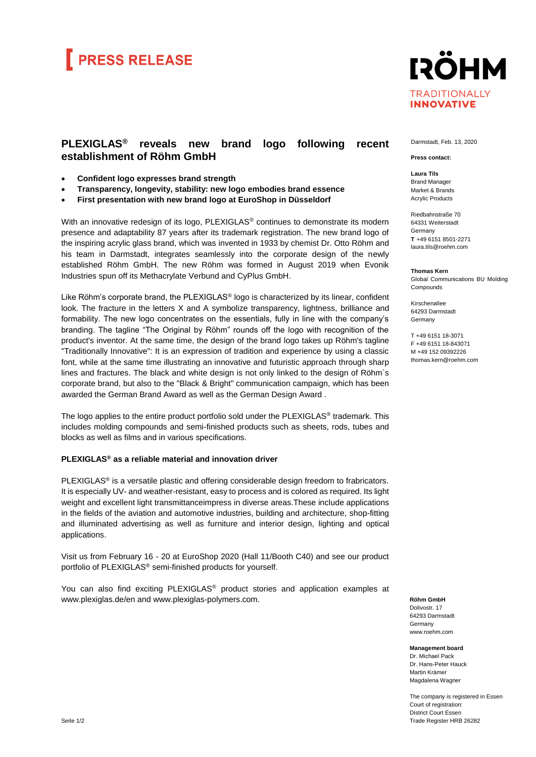## **PRESS RELEASE**



## **PLEXIGLAS® reveals new brand logo following recent establishment of Röhm GmbH**

- **Confident logo expresses brand strength**
- **Transparency, longevity, stability: new logo embodies brand essence**
- **First presentation with new brand logo at EuroShop in Düsseldorf**

With an innovative redesign of its logo, PLEXIGLAS<sup>®</sup> continues to demonstrate its modern presence and adaptability 87 years after its trademark registration. The new brand logo of the inspiring acrylic glass brand, which was invented in 1933 by chemist Dr. Otto Röhm and his team in Darmstadt, integrates seamlessly into the corporate design of the newly established Röhm GmbH. The new Röhm was formed in August 2019 when Evonik Industries spun off its Methacrylate Verbund and CyPlus GmbH.

Like Röhm's corporate brand, the PLEXIGLAS<sup>®</sup> logo is characterized by its linear, confident look. The fracture in the letters X and A symbolize transparency, lightness, brilliance and formability. The new logo concentrates on the essentials, fully in line with the company's branding. The tagline "The Original by Röhm" rounds off the logo with recognition of the product's inventor. At the same time, the design of the brand logo takes up Röhm's tagline "Traditionally Innovative": It is an expression of tradition and experience by using a classic font, while at the same time illustrating an innovative and futuristic approach through sharp lines and fractures. The black and white design is not only linked to the design of Röhm´s corporate brand, but also to the "Black & Bright" communication campaign, which has been awarded the German Brand Award as well as the German Design Award .

The logo applies to the entire product portfolio sold under the PLEXIGLAS® trademark. This includes molding compounds and semi-finished products such as sheets, rods, tubes and blocks as well as films and in various specifications.

### **PLEXIGLAS® as a reliable material and innovation driver**

PLEXIGLAS® is a versatile plastic and offering considerable design freedom to frabricators. It is especially UV- and weather-resistant, easy to process and is colored as required. Its light weight and excellent light transmittanceimpress in diverse areas.These include applications in the fields of the aviation and automotive industries, building and architecture, shop-fitting and illuminated advertising as well as furniture and interior design, lighting and optical applications.

Visit us from February 16 - 20 at EuroShop 2020 (Hall 11/Booth C40) and see our product portfolio of PLEXIGLAS® semi-finished products for yourself.

You can also find exciting PLEXIGLAS<sup>®</sup> product stories and application examples at www.plexiglas.de/en and [www.plexiglas-polymers.com.](http://www.plexiglas-polymers.com/)

#### Darmstadt, Feb. 13, 2020

#### **Press contact:**

**Laura Tils** Brand Manager Market & Brands Acrylic Products

Riedbahnstraße 70 64331 Weiterstadt Germany **T** +49 6151 8501-2271 [laura.tils@roehm.com](mailto:laura.tils@roehm.com)

**Thomas Kern** Global Communications BU Molding Compounds

Kirschenallee 64293 Darmstadt Germany

T +49 6151 18-3071 F +49 6151 18-843071 M +49 152 09392226 thomas.kern@roehm.com

**Röhm GmbH** Dolivostr. 17 64293 Darmstadt Germany www.roehm.com

**Management board** Dr. Michael Pack Dr. Hans-Peter Hauck Martin Krämer Magdalena Wagner

The company is registered in Essen Court of registration: District Court Essen Trade Register HRB 26282